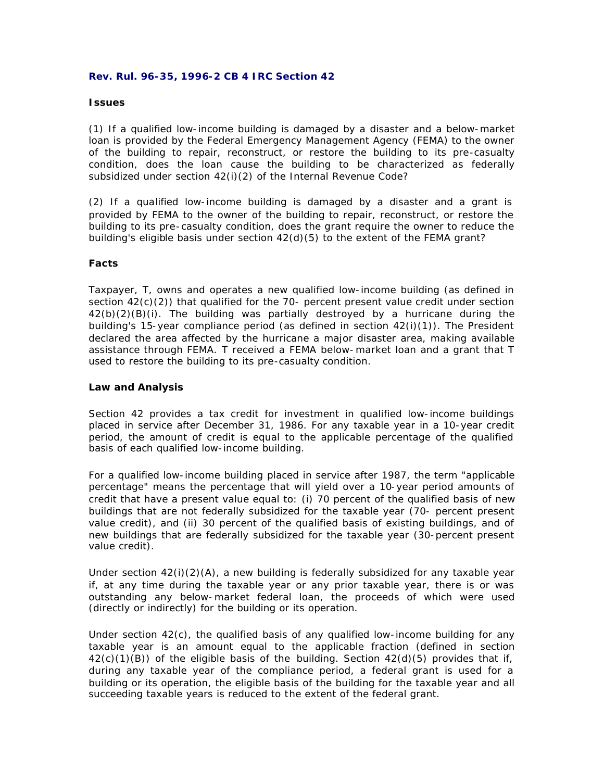### **Rev. Rul. 96-35, 1996-2 CB 4 IRC Section 42**

#### **Issues**

(1) If a qualified low-income building is damaged by a disaster and a below-market loan is provided by the Federal Emergency Management Agency (FEMA) to the owner of the building to repair, reconstruct, or restore the building to its pre-casualty condition, does the loan cause the building to be characterized as federally subsidized under section 42(i)(2) of the Internal Revenue Code?

(2) If a qualified low-income building is damaged by a disaster and a grant is provided by FEMA to the owner of the building to repair, reconstruct, or restore the building to its pre-casualty condition, does the grant require the owner to reduce the building's eligible basis under section 42(d)(5) to the extent of the FEMA grant?

# **Facts**

Taxpayer, T, owns and operates a new qualified low-income building (as defined in section  $42(c)(2)$ ) that qualified for the 70- percent present value credit under section  $42(b)(2)(B)(i)$ . The building was partially destroyed by a hurricane during the building's 15-year compliance period (as defined in section 42(i)(1)). The President declared the area affected by the hurricane a major disaster area, making available assistance through FEMA. T received a FEMA below-market loan and a grant that T used to restore the building to its pre-casualty condition.

#### **Law and Analysis**

Section 42 provides a tax credit for investment in qualified low-income buildings placed in service after December 31, 1986. For any taxable year in a 10-year credit period, the amount of credit is equal to the applicable percentage of the qualified basis of each qualified low-income building.

For a qualified low-income building placed in service after 1987, the term "applicable percentage" means the percentage that will yield over a 10-year period amounts of credit that have a present value equal to: (i) 70 percent of the qualified basis of new buildings that are not federally subsidized for the taxable year (70- percent present value credit), and (ii) 30 percent of the qualified basis of existing buildings, and of new buildings that are federally subsidized for the taxable year (30-percent present value credit).

Under section  $42(i)(2)(A)$ , a new building is federally subsidized for any taxable year if, at any time during the taxable year or any prior taxable year, there is or was outstanding any below-market federal loan, the proceeds of which were used (directly or indirectly) for the building or its operation.

Under section 42(c), the qualified basis of any qualified low-income building for any taxable year is an amount equal to the applicable fraction (defined in section  $42(c)(1)(B)$  of the eligible basis of the building. Section  $42(d)(5)$  provides that if, during any taxable year of the compliance period, a federal grant is used for a building or its operation, the eligible basis of the building for the taxable year and all succeeding taxable years is reduced to the extent of the federal grant.